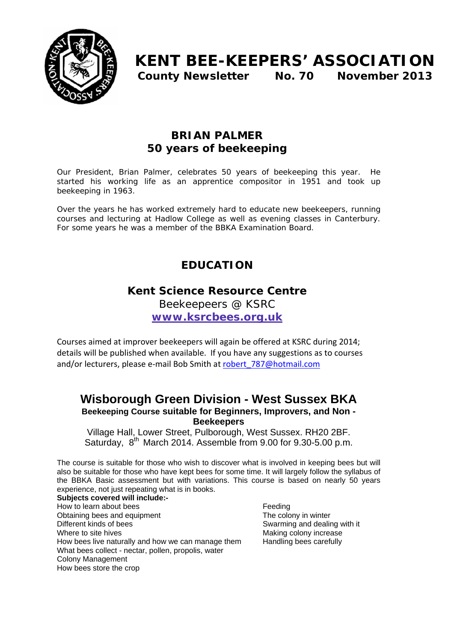

# **KENT BEE-KEEPERS' ASSOCIATION County Newsletter No. 70 November 2013**

## **BRIAN PALMER 50 years of beekeeping**

Our President, Brian Palmer, celebrates 50 years of beekeeping this year. He started his working life as an apprentice compositor in 1951 and took up beekeeping in 1963.

Over the years he has worked extremely hard to educate new beekeepers, running courses and lecturing at Hadlow College as well as evening classes in Canterbury. For some years he was a member of the BBKA Examination Board.

## **EDUCATION**

## **Kent Science Resource Centre**

Beekeepeers @ KSRC

**www.ksrcbees.org.uk**

Courses aimed at improver beekeepers will again be offered at KSRC during 2014; details will be published when available. If you have any suggestions as to courses and/or lecturers, please e‐mail Bob Smith at robert**\_**787@hotmail.com

### **Wisborough Green Division - West Sussex BKA Beekeeping Course suitable for Beginners, Improvers, and Non - Beekeepers**

Village Hall, Lower Street, Pulborough, West Sussex. RH20 2BF. Saturday, 8<sup>th</sup> March 2014. Assemble from 9.00 for 9.30-5.00 p.m.

The course is suitable for those who wish to discover what is involved in keeping bees but will also be suitable for those who have kept bees for some time. It will largely follow the syllabus of the BBKA Basic assessment but with variations. This course is based on nearly 50 years experience, not just repeating what is in books.

**Subjects covered will include:-**  How to learn about bees Feeding Obtaining bees and equipment The colony in winter Different kinds of bees **Swarming and dealing with it** Swarming and dealing with it Where to site hives Making colony increase How bees live naturally and how we can manage them Handling bees carefully What bees collect - nectar, pollen, propolis, water Colony Management How bees store the crop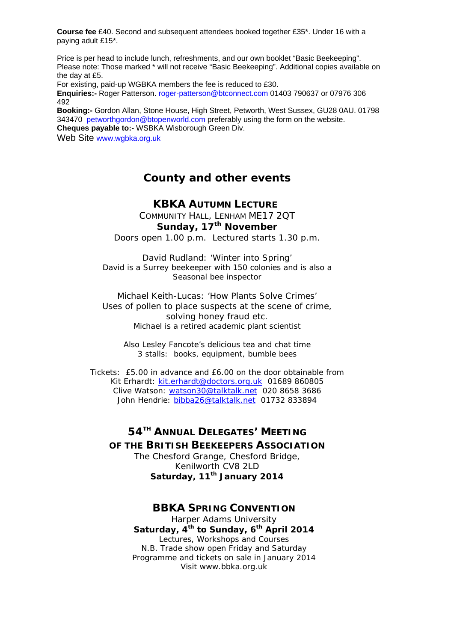**Course fee** £40. Second and subsequent attendees booked together £35\*. Under 16 with a paying adult £15\*.

Price is per head to include lunch, refreshments, and our own booklet "Basic Beekeeping". Please note: Those marked \* will not receive "Basic Beekeeping". Additional copies available on the day at £5.

For existing, paid-up WGBKA members the fee is reduced to £30.

**Enquiries:-** Roger Patterson. roger-patterson@btconnect.com 01403 790637 or 07976 306 492

**Booking:-** Gordon Allan, Stone House, High Street, Petworth, West Sussex, GU28 0AU. 01798 343470 petworthgordon@btopenworld.com preferably using the form on the website. **Cheques payable to:-** WSBKA Wisborough Green Div.

Web Site www.wgbka.org.uk

## **County and other events**

#### **KBKA AUTUMN LECTURE**

COMMUNITY HALL, LENHAM ME17 2QT **Sunday, 17th November** 

Doors open 1.00 p.m. Lectured starts 1.30 p.m.

David Rudland: 'Winter into Spring' David is a Surrey beekeeper with 150 colonies and is also a Seasonal bee inspector

Michael Keith-Lucas: 'How Plants Solve Crimes' Uses of pollen to place suspects at the scene of crime, solving honey fraud etc. Michael is a retired academic plant scientist

Also Lesley Fancote's delicious tea and chat time 3 stalls: books, equipment, bumble bees

Tickets: £5.00 in advance and £6.00 on the door obtainable from Kit Erhardt: kit.erhardt@doctors.org.uk 01689 860805 Clive Watson: watson30@talktalk.net 020 8658 3686 John Hendrie: bibba26@talktalk.net 01732 833894

#### **54TH ANNUAL DELEGATES' MEETING OF THE BRITISH BEEKEEPERS ASSOCIATION** The Chesford Grange, Chesford Bridge, Kenilworth CV8 2LD Saturday, 11<sup>th</sup> January 2014

#### **BBKA SPRING CONVENTION**

Harper Adams University Saturday, 4<sup>th</sup> to Sunday, 6<sup>th</sup> April 2014 Lectures, Workshops and Courses N.B. Trade show open Friday and Saturday Programme and tickets on sale in January 2014 Visit www.bbka.org.uk